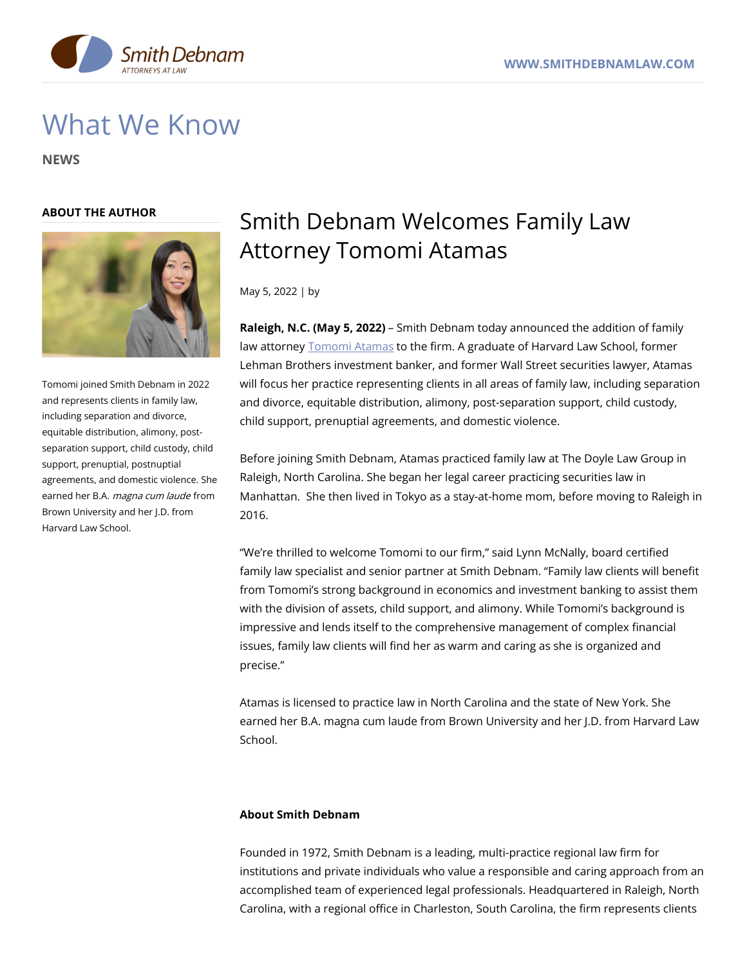

# What We Know

**NEWS**

#### **ABOUT THE AUTHOR**



Tomomi joined Smith Debnam in 2022 and represents clients in family law, including separation and divorce, equitable distribution, alimony, postseparation support, child custody, child support, prenuptial, postnuptial agreements, and domestic violence. She earned her B.A. magna cum laude from Brown University and her J.D. from Harvard Law School.

## Smith Debnam Welcomes Family Law Attorney Tomomi Atamas

May 5, 2022 | by

**Raleigh, N.C. (May 5, 2022)** – Smith Debnam today announced the addition of family law attorney **[Tomomi](https://www.smithdebnamlaw.com/people/tomomi-atamas/) Atamas to the firm. A graduate of Harvard Law School, former** Lehman Brothers investment banker, and former Wall Street securities lawyer, Atamas will focus her practice representing clients in all areas of family law, including separation and divorce, equitable distribution, alimony, post-separation support, child custody, child support, prenuptial agreements, and domestic violence.

Before joining Smith Debnam, Atamas practiced family law at The Doyle Law Group in Raleigh, North Carolina. She began her legal career practicing securities law in Manhattan. She then lived in Tokyo as a stay-at-home mom, before moving to Raleigh in 2016.

"We're thrilled to welcome Tomomi to our firm," said Lynn McNally, board certified family law specialist and senior partner at Smith Debnam. "Family law clients will benefit from Tomomi's strong background in economics and investment banking to assist them with the division of assets, child support, and alimony. While Tomomi's background is impressive and lends itself to the comprehensive management of complex financial issues, family law clients will find her as warm and caring as she is organized and precise."

Atamas is licensed to practice law in North Carolina and the state of New York. She earned her B.A. magna cum laude from Brown University and her J.D. from Harvard Law School.

#### **About Smith Debnam**

Founded in 1972, Smith Debnam is a leading, multi-practice regional law firm for institutions and private individuals who value a responsible and caring approach from an accomplished team of experienced legal professionals. Headquartered in Raleigh, North Carolina, with a regional office in Charleston, South Carolina, the firm represents clients